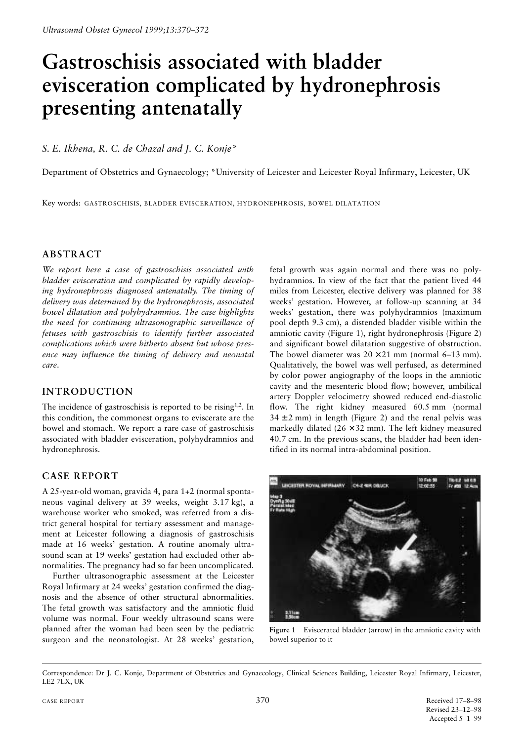# **Gastroschisis associated with bladder evisceration complicated by hydronephrosis presenting antenatally**

*S. E. Ikhena, R. C. de Chazal and J. C. Konje\**

Department of Obstetrics and Gynaecology; \*University of Leicester and Leicester Royal Infirmary, Leicester, UK

Key words: GASTROSCHISIS, BLADDER EVISCERATION, HYDRONEPHROSIS, BOWEL DILATATION

## **ABSTRACT**

*We report here a case of gastroschisis associated with bladder evisceration and complicated by rapidly developing hydronephrosis diagnosed antenatally. The timing of delivery was determined by the hydronephrosis, associated bowel dilatation and polyhydramnios. The case highlights the need for continuing ultrasonographic surveillance of fetuses with gastroschisis to identify further associated complications which were hitherto absent but whose presence may influence the timing of delivery and neonatal care*.

## **INTRODUCTION**

The incidence of gastroschisis is reported to be rising<sup>1,2</sup>. In this condition, the commonest organs to eviscerate are the bowel and stomach. We report a rare case of gastroschisis associated with bladder evisceration, polyhydramnios and hydronephrosis.

## **CASE REPORT**

A 25-year-old woman, gravida 4, para 1+2 (normal spontaneous vaginal delivery at 39 weeks, weight 3.17 kg), a warehouse worker who smoked, was referred from a district general hospital for tertiary assessment and management at Leicester following a diagnosis of gastroschisis made at 16 weeks' gestation. A routine anomaly ultrasound scan at 19 weeks' gestation had excluded other abnormalities. The pregnancy had so far been uncomplicated.

Further ultrasonographic assessment at the Leicester Royal Infirmary at 24 weeks' gestation confirmed the diagnosis and the absence of other structural abnormalities. The fetal growth was satisfactory and the amniotic fluid volume was normal. Four weekly ultrasound scans were planned after the woman had been seen by the pediatric surgeon and the neonatologist. At 28 weeks' gestation,

fetal growth was again normal and there was no polyhydramnios. In view of the fact that the patient lived 44 miles from Leicester, elective delivery was planned for 38 weeks' gestation. However, at follow-up scanning at 34 weeks' gestation, there was polyhydramnios (maximum pool depth 9.3 cm), a distended bladder visible within the amniotic cavity (Figure 1), right hydronephrosis (Figure 2) and significant bowel dilatation suggestive of obstruction. The bowel diameter was  $20 \times 21$  mm (normal 6–13 mm). Qualitatively, the bowel was well perfused, as determined by color power angiography of the loops in the amniotic cavity and the mesenteric blood flow; however, umbilical artery Doppler velocimetry showed reduced end-diastolic flow. The right kidney measured 60.5 mm (normal  $34 \pm 2$  mm) in length (Figure 2) and the renal pelvis was markedly dilated  $(26 \times 32 \text{ mm})$ . The left kidney measured 40.7 cm. In the previous scans, the bladder had been identified in its normal intra-abdominal position.



**Figure 1** Eviscerated bladder (arrow) in the amniotic cavity with bowel superior to it

Correspondence: Dr J. C. Konje, Department of Obstetrics and Gynaecology, Clinical Sciences Building, Leicester Royal Infirmary, Leicester, LE2 7LX, UK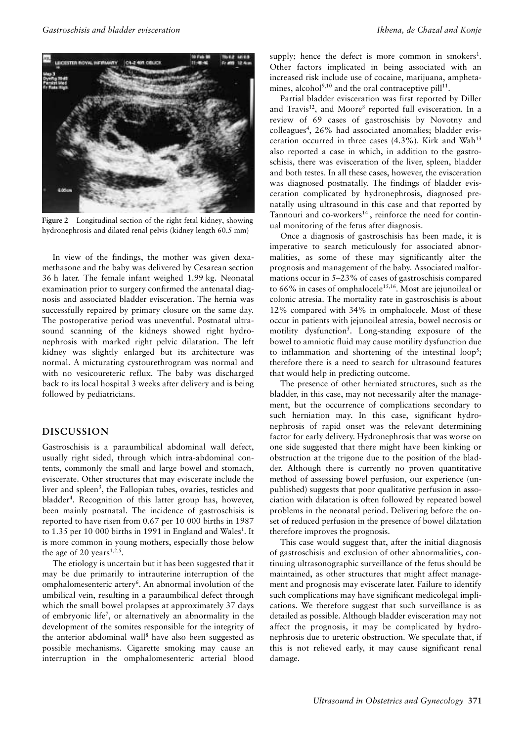

**Figure 2** Longitudinal section of the right fetal kidney, showing hydronephrosis and dilated renal pelvis (kidney length 60.5 mm)

In view of the findings, the mother was given dexamethasone and the baby was delivered by Cesarean section 36 h later. The female infant weighed 1.99 kg. Neonatal examination prior to surgery confirmed the antenatal diagnosis and associated bladder evisceration. The hernia was successfully repaired by primary closure on the same day. The postoperative period was uneventful. Postnatal ultrasound scanning of the kidneys showed right hydronephrosis with marked right pelvic dilatation. The left kidney was slightly enlarged but its architecture was normal. A micturating cystourethrogram was normal and with no vesicoureteric reflux. The baby was discharged back to its local hospital 3 weeks after delivery and is being followed by pediatricians.

#### **DISCUSSION**

Gastroschisis is a paraumbilical abdominal wall defect, usually right sided, through which intra-abdominal contents, commonly the small and large bowel and stomach, eviscerate. Other structures that may eviscerate include the liver and spleen<sup>3</sup>, the Fallopian tubes, ovaries, testicles and bladder<sup>4</sup>. Recognition of this latter group has, however, been mainly postnatal. The incidence of gastroschisis is reported to have risen from 0.67 per 10 000 births in 1987 to 1.35 per 10 000 births in 1991 in England and Wales<sup>1</sup>. It is more common in young mothers, especially those below the age of 20 years<sup>1,2,5</sup>.

The etiology is uncertain but it has been suggested that it may be due primarily to intrauterine interruption of the omphalomesenteric artery<sup>6</sup>. An abnormal involution of the umbilical vein, resulting in a paraumbilical defect through which the small bowel prolapses at approximately 37 days of embryonic life<sup>7</sup>, or alternatively an abnormality in the development of the somites responsible for the integrity of the anterior abdominal wall<sup>8</sup> have also been suggested as possible mechanisms. Cigarette smoking may cause an interruption in the omphalomesenteric arterial blood

supply; hence the defect is more common in smokers<sup>1</sup>. Other factors implicated in being associated with an increased risk include use of cocaine, marijuana, amphetamines, alcohol $9,10$  and the oral contraceptive pill<sup>11</sup>.

Partial bladder evisceration was first reported by Diller and Travis<sup>12</sup>, and Moore<sup>8</sup> reported full evisceration. In a review of 69 cases of gastroschisis by Novotny and colleagues<sup>4</sup>, 26% had associated anomalies; bladder evisceration occurred in three cases  $(4.3\%)$ . Kirk and Wah<sup>13</sup> also reported a case in which, in addition to the gastroschisis, there was evisceration of the liver, spleen, bladder and both testes. In all these cases, however, the evisceration was diagnosed postnatally. The findings of bladder evisceration complicated by hydronephrosis, diagnosed prenatally using ultrasound in this case and that reported by Tannouri and co-workers $14$ , reinforce the need for continual monitoring of the fetus after diagnosis.

Once a diagnosis of gastroschisis has been made, it is imperative to search meticulously for associated abnormalities, as some of these may significantly alter the prognosis and management of the baby. Associated malformations occur in 5–23% of cases of gastroschisis compared to  $66\%$  in cases of omphalocele<sup>15,16</sup>. Most are jejunoileal or colonic atresia. The mortality rate in gastroschisis is about 12% compared with 34% in omphalocele. Most of these occur in patients with jejunoileal atresia, bowel necrosis or motility dysfunction<sup>5</sup>. Long-standing exposure of the bowel to amniotic fluid may cause motility dysfunction due to inflammation and shortening of the intestinal  $loop^5$ ; therefore there is a need to search for ultrasound features that would help in predicting outcome.

The presence of other herniated structures, such as the bladder, in this case, may not necessarily alter the management, but the occurrence of complications secondary to such herniation may. In this case, significant hydronephrosis of rapid onset was the relevant determining factor for early delivery. Hydronephrosis that was worse on one side suggested that there might have been kinking or obstruction at the trigone due to the position of the bladder. Although there is currently no proven quantitative method of assessing bowel perfusion, our experience (unpublished) suggests that poor qualitative perfusion in association with dilatation is often followed by repeated bowel problems in the neonatal period. Delivering before the onset of reduced perfusion in the presence of bowel dilatation therefore improves the prognosis.

This case would suggest that, after the initial diagnosis of gastroschisis and exclusion of other abnormalities, continuing ultrasonographic surveillance of the fetus should be maintained, as other structures that might affect management and prognosis may eviscerate later. Failure to identify such complications may have significant medicolegal implications. We therefore suggest that such surveillance is as detailed as possible. Although bladder evisceration may not affect the prognosis, it may be complicated by hydronephrosis due to ureteric obstruction. We speculate that, if this is not relieved early, it may cause significant renal damage.